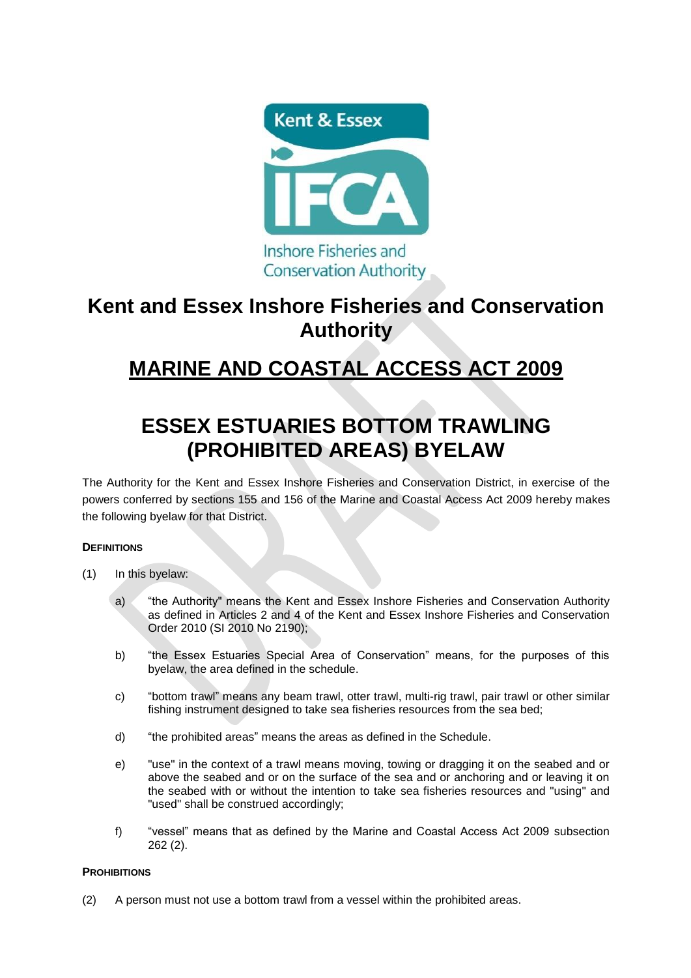

### **Kent and Essex Inshore Fisheries and Conservation Authority**

# **MARINE AND COASTAL ACCESS ACT 2009**

# **ESSEX ESTUARIES BOTTOM TRAWLING (PROHIBITED AREAS) BYELAW**

The Authority for the Kent and Essex Inshore Fisheries and Conservation District, in exercise of the powers conferred by sections 155 and 156 of the Marine and Coastal Access Act 2009 hereby makes the following byelaw for that District.

### **DEFINITIONS**

- (1) In this byelaw:
	- a) "the Authority" means the Kent and Essex Inshore Fisheries and Conservation Authority as defined in Articles 2 and 4 of the Kent and Essex Inshore Fisheries and Conservation Order 2010 (SI 2010 No 2190);
	- b) "the Essex Estuaries Special Area of Conservation" means, for the purposes of this byelaw, the area defined in the schedule.
	- c) "bottom trawl" means any beam trawl, otter trawl, multi-rig trawl, pair trawl or other similar fishing instrument designed to take sea fisheries resources from the sea bed;
	- d) "the prohibited areas" means the areas as defined in the Schedule.
	- e) "use" in the context of a trawl means moving, towing or dragging it on the seabed and or above the seabed and or on the surface of the sea and or anchoring and or leaving it on the seabed with or without the intention to take sea fisheries resources and "using" and "used" shall be construed accordingly;
	- f) "vessel" means that as defined by the Marine and Coastal Access Act 2009 subsection 262 (2).

#### **PROHIBITIONS**

(2) A person must not use a bottom trawl from a vessel within the prohibited areas.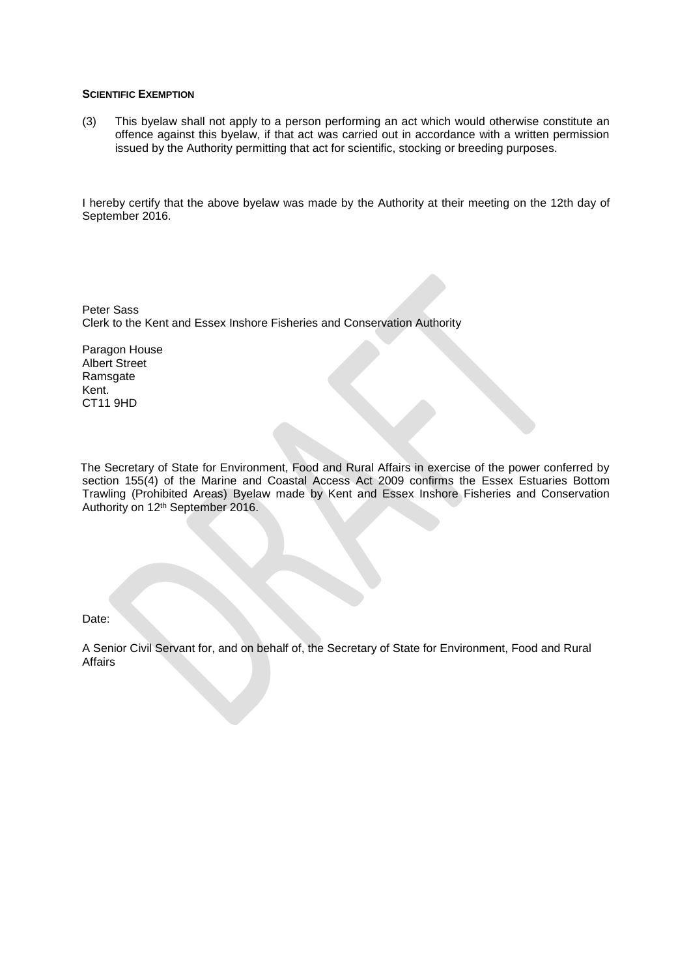#### **SCIENTIFIC EXEMPTION**

(3) This byelaw shall not apply to a person performing an act which would otherwise constitute an offence against this byelaw, if that act was carried out in accordance with a written permission issued by the Authority permitting that act for scientific, stocking or breeding purposes.

I hereby certify that the above byelaw was made by the Authority at their meeting on the 12th day of September 2016.

Peter Sass Clerk to the Kent and Essex Inshore Fisheries and Conservation Authority

Paragon House Albert Street Ramsgate Kent. CT11 9HD

 The Secretary of State for Environment, Food and Rural Affairs in exercise of the power conferred by section 155(4) of the Marine and Coastal Access Act 2009 confirms the Essex Estuaries Bottom Trawling (Prohibited Areas) Byelaw made by Kent and Essex Inshore Fisheries and Conservation Authority on 12th September 2016.

Date:

A Senior Civil Servant for, and on behalf of, the Secretary of State for Environment, Food and Rural **Affairs**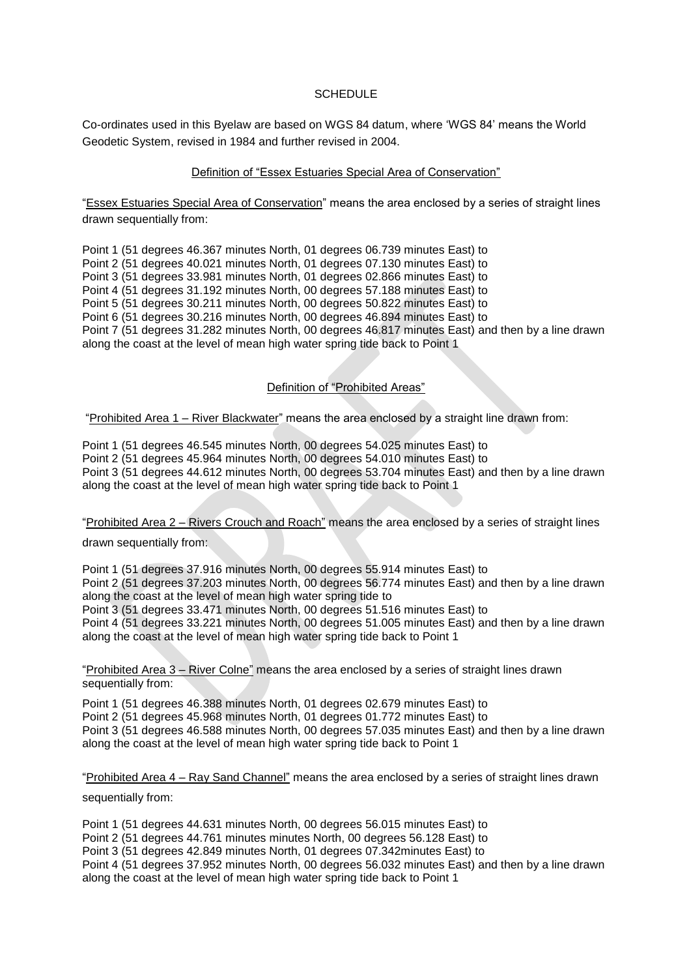#### **SCHEDULE**

Co-ordinates used in this Byelaw are based on WGS 84 datum, where 'WGS 84' means the World Geodetic System, revised in 1984 and further revised in 2004.

#### Definition of "Essex Estuaries Special Area of Conservation"

"Essex Estuaries Special Area of Conservation" means the area enclosed by a series of straight lines drawn sequentially from:

Point 1 (51 degrees 46.367 minutes North, 01 degrees 06.739 minutes East) to Point 2 (51 degrees 40.021 minutes North, 01 degrees 07.130 minutes East) to Point 3 (51 degrees 33.981 minutes North, 01 degrees 02.866 minutes East) to Point 4 (51 degrees 31.192 minutes North, 00 degrees 57.188 minutes East) to Point 5 (51 degrees 30.211 minutes North, 00 degrees 50.822 minutes East) to Point 6 (51 degrees 30.216 minutes North, 00 degrees 46.894 minutes East) to Point 7 (51 degrees 31.282 minutes North, 00 degrees 46.817 minutes East) and then by a line drawn along the coast at the level of mean high water spring tide back to Point 1

#### Definition of "Prohibited Areas"

"Prohibited Area 1 – River Blackwater" means the area enclosed by a straight line drawn from:

Point 1 (51 degrees 46.545 minutes North, 00 degrees 54.025 minutes East) to Point 2 (51 degrees 45.964 minutes North, 00 degrees 54.010 minutes East) to Point 3 (51 degrees 44.612 minutes North, 00 degrees 53.704 minutes East) and then by a line drawn along the coast at the level of mean high water spring tide back to Point 1

"Prohibited Area 2 – Rivers Crouch and Roach" means the area enclosed by a series of straight lines

drawn sequentially from:

Point 1 (51 degrees 37.916 minutes North, 00 degrees 55.914 minutes East) to Point 2 (51 degrees 37.203 minutes North, 00 degrees 56.774 minutes East) and then by a line drawn along the coast at the level of mean high water spring tide to Point 3 (51 degrees 33.471 minutes North, 00 degrees 51.516 minutes East) to Point 4 (51 degrees 33.221 minutes North, 00 degrees 51.005 minutes East) and then by a line drawn along the coast at the level of mean high water spring tide back to Point 1

"Prohibited Area 3 – River Colne" means the area enclosed by a series of straight lines drawn sequentially from:

Point 1 (51 degrees 46.388 minutes North, 01 degrees 02.679 minutes East) to Point 2 (51 degrees 45.968 minutes North, 01 degrees 01.772 minutes East) to Point 3 (51 degrees 46.588 minutes North, 00 degrees 57.035 minutes East) and then by a line drawn along the coast at the level of mean high water spring tide back to Point 1

"Prohibited Area 4 – Ray Sand Channel" means the area enclosed by a series of straight lines drawn sequentially from:

Point 1 (51 degrees 44.631 minutes North, 00 degrees 56.015 minutes East) to Point 2 (51 degrees 44.761 minutes minutes North, 00 degrees 56.128 East) to Point 3 (51 degrees 42.849 minutes North, 01 degrees 07.342minutes East) to Point 4 (51 degrees 37.952 minutes North, 00 degrees 56.032 minutes East) and then by a line drawn along the coast at the level of mean high water spring tide back to Point 1